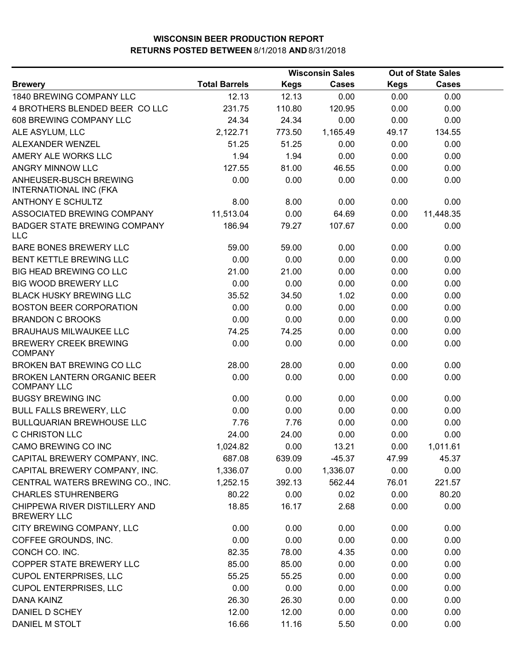|                                                     |                      | <b>Wisconsin Sales</b> |              | <b>Out of State Sales</b> |              |  |
|-----------------------------------------------------|----------------------|------------------------|--------------|---------------------------|--------------|--|
| <b>Brewery</b>                                      | <b>Total Barrels</b> | <b>Kegs</b>            | <b>Cases</b> | <b>Kegs</b>               | <b>Cases</b> |  |
| <b>1840 BREWING COMPANY LLC</b>                     | 12.13                | 12.13                  | 0.00         | 0.00                      | 0.00         |  |
| 4 BROTHERS BLENDED BEER COLLC                       | 231.75               | 110.80                 | 120.95       | 0.00                      | 0.00         |  |
| 608 BREWING COMPANY LLC                             | 24.34                | 24.34                  | 0.00         | 0.00                      | 0.00         |  |
| ALE ASYLUM, LLC                                     | 2,122.71             | 773.50                 | 1,165.49     | 49.17                     | 134.55       |  |
| ALEXANDER WENZEL                                    | 51.25                | 51.25                  | 0.00         | 0.00                      | 0.00         |  |
| AMERY ALE WORKS LLC                                 | 1.94                 | 1.94                   | 0.00         | 0.00                      | 0.00         |  |
| ANGRY MINNOW LLC                                    | 127.55               | 81.00                  | 46.55        | 0.00                      | 0.00         |  |
| ANHEUSER-BUSCH BREWING<br>INTERNATIONAL INC (FKA    | 0.00                 | 0.00                   | 0.00         | 0.00                      | 0.00         |  |
| <b>ANTHONY E SCHULTZ</b>                            | 8.00                 | 8.00                   | 0.00         | 0.00                      | 0.00         |  |
| ASSOCIATED BREWING COMPANY                          | 11,513.04            | 0.00                   | 64.69        | 0.00                      | 11,448.35    |  |
| <b>BADGER STATE BREWING COMPANY</b><br><b>LLC</b>   | 186.94               | 79.27                  | 107.67       | 0.00                      | 0.00         |  |
| BARE BONES BREWERY LLC                              | 59.00                | 59.00                  | 0.00         | 0.00                      | 0.00         |  |
| BENT KETTLE BREWING LLC                             | 0.00                 | 0.00                   | 0.00         | 0.00                      | 0.00         |  |
| <b>BIG HEAD BREWING CO LLC</b>                      | 21.00                | 21.00                  | 0.00         | 0.00                      | 0.00         |  |
| <b>BIG WOOD BREWERY LLC</b>                         | 0.00                 | 0.00                   | 0.00         | 0.00                      | 0.00         |  |
| <b>BLACK HUSKY BREWING LLC</b>                      | 35.52                | 34.50                  | 1.02         | 0.00                      | 0.00         |  |
| <b>BOSTON BEER CORPORATION</b>                      | 0.00                 | 0.00                   | 0.00         | 0.00                      | 0.00         |  |
| <b>BRANDON C BROOKS</b>                             | 0.00                 | 0.00                   | 0.00         | 0.00                      | 0.00         |  |
| <b>BRAUHAUS MILWAUKEE LLC</b>                       | 74.25                | 74.25                  | 0.00         | 0.00                      | 0.00         |  |
| <b>BREWERY CREEK BREWING</b><br><b>COMPANY</b>      | 0.00                 | 0.00                   | 0.00         | 0.00                      | 0.00         |  |
| BROKEN BAT BREWING CO LLC                           | 28.00                | 28.00                  | 0.00         | 0.00                      | 0.00         |  |
| BROKEN LANTERN ORGANIC BEER<br><b>COMPANY LLC</b>   | 0.00                 | 0.00                   | 0.00         | 0.00                      | 0.00         |  |
| <b>BUGSY BREWING INC</b>                            | 0.00                 | 0.00                   | 0.00         | 0.00                      | 0.00         |  |
| <b>BULL FALLS BREWERY, LLC</b>                      | 0.00                 | 0.00                   | 0.00         | 0.00                      | 0.00         |  |
| <b>BULLQUARIAN BREWHOUSE LLC</b>                    | 7.76                 | 7.76                   | 0.00         | 0.00                      | 0.00         |  |
| <b>C CHRISTON LLC</b>                               | 24.00                | 24.00                  | 0.00         | 0.00                      | 0.00         |  |
| CAMO BREWING CO INC                                 | 1,024.82             | 0.00                   | 13.21        | 0.00                      | 1,011.61     |  |
| CAPITAL BREWERY COMPANY, INC.                       | 687.08               | 639.09                 | $-45.37$     | 47.99                     | 45.37        |  |
| CAPITAL BREWERY COMPANY, INC.                       | 1,336.07             | 0.00                   | 1,336.07     | 0.00                      | 0.00         |  |
| CENTRAL WATERS BREWING CO., INC.                    | 1,252.15             | 392.13                 | 562.44       | 76.01                     | 221.57       |  |
| <b>CHARLES STUHRENBERG</b>                          | 80.22                | 0.00                   | 0.02         | 0.00                      | 80.20        |  |
| CHIPPEWA RIVER DISTILLERY AND<br><b>BREWERY LLC</b> | 18.85                | 16.17                  | 2.68         | 0.00                      | 0.00         |  |
| CITY BREWING COMPANY, LLC                           | 0.00                 | 0.00                   | 0.00         | 0.00                      | 0.00         |  |
| COFFEE GROUNDS, INC.                                | 0.00                 | 0.00                   | 0.00         | 0.00                      | 0.00         |  |
| CONCH CO. INC.                                      | 82.35                | 78.00                  | 4.35         | 0.00                      | 0.00         |  |
| COPPER STATE BREWERY LLC                            | 85.00                | 85.00                  | 0.00         | 0.00                      | 0.00         |  |
| <b>CUPOL ENTERPRISES, LLC</b>                       | 55.25                | 55.25                  | 0.00         | 0.00                      | 0.00         |  |
| <b>CUPOL ENTERPRISES, LLC</b>                       | 0.00                 | 0.00                   | 0.00         | 0.00                      | 0.00         |  |
| <b>DANA KAINZ</b>                                   | 26.30                | 26.30                  | 0.00         | 0.00                      | 0.00         |  |
| DANIEL D SCHEY                                      | 12.00                | 12.00                  | 0.00         | 0.00                      | 0.00         |  |
| DANIEL M STOLT                                      | 16.66                | 11.16                  | 5.50         | 0.00                      | 0.00         |  |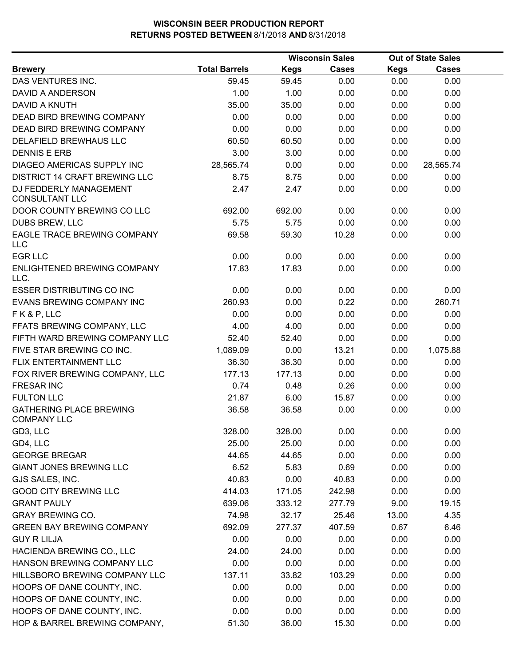|                                                      |                      |             | <b>Wisconsin Sales</b> | <b>Out of State Sales</b> |              |  |
|------------------------------------------------------|----------------------|-------------|------------------------|---------------------------|--------------|--|
| <b>Brewery</b>                                       | <b>Total Barrels</b> | <b>Kegs</b> | <b>Cases</b>           | <b>Kegs</b>               | <b>Cases</b> |  |
| DAS VENTURES INC.                                    | 59.45                | 59.45       | 0.00                   | 0.00                      | 0.00         |  |
| DAVID A ANDERSON                                     | 1.00                 | 1.00        | 0.00                   | 0.00                      | 0.00         |  |
| <b>DAVID A KNUTH</b>                                 | 35.00                | 35.00       | 0.00                   | 0.00                      | 0.00         |  |
| <b>DEAD BIRD BREWING COMPANY</b>                     | 0.00                 | 0.00        | 0.00                   | 0.00                      | 0.00         |  |
| DEAD BIRD BREWING COMPANY                            | 0.00                 | 0.00        | 0.00                   | 0.00                      | 0.00         |  |
| DELAFIELD BREWHAUS LLC                               | 60.50                | 60.50       | 0.00                   | 0.00                      | 0.00         |  |
| <b>DENNIS E ERB</b>                                  | 3.00                 | 3.00        | 0.00                   | 0.00                      | 0.00         |  |
| DIAGEO AMERICAS SUPPLY INC                           | 28,565.74            | 0.00        | 0.00                   | 0.00                      | 28,565.74    |  |
| DISTRICT 14 CRAFT BREWING LLC                        | 8.75                 | 8.75        | 0.00                   | 0.00                      | 0.00         |  |
| DJ FEDDERLY MANAGEMENT<br><b>CONSULTANT LLC</b>      | 2.47                 | 2.47        | 0.00                   | 0.00                      | 0.00         |  |
| DOOR COUNTY BREWING CO LLC                           | 692.00               | 692.00      | 0.00                   | 0.00                      | 0.00         |  |
| DUBS BREW, LLC                                       | 5.75                 | 5.75        | 0.00                   | 0.00                      | 0.00         |  |
| EAGLE TRACE BREWING COMPANY<br><b>LLC</b>            | 69.58                | 59.30       | 10.28                  | 0.00                      | 0.00         |  |
| <b>EGR LLC</b>                                       | 0.00                 | 0.00        | 0.00                   | 0.00                      | 0.00         |  |
| ENLIGHTENED BREWING COMPANY<br>LLC.                  | 17.83                | 17.83       | 0.00                   | 0.00                      | 0.00         |  |
| <b>ESSER DISTRIBUTING CO INC</b>                     | 0.00                 | 0.00        | 0.00                   | 0.00                      | 0.00         |  |
| EVANS BREWING COMPANY INC                            | 260.93               | 0.00        | 0.22                   | 0.00                      | 260.71       |  |
| FK&P, LLC                                            | 0.00                 | 0.00        | 0.00                   | 0.00                      | 0.00         |  |
| FFATS BREWING COMPANY, LLC                           | 4.00                 | 4.00        | 0.00                   | 0.00                      | 0.00         |  |
| FIFTH WARD BREWING COMPANY LLC                       | 52.40                | 52.40       | 0.00                   | 0.00                      | 0.00         |  |
| FIVE STAR BREWING CO INC.                            | 1,089.09             | 0.00        | 13.21                  | 0.00                      | 1,075.88     |  |
| FLIX ENTERTAINMENT LLC                               | 36.30                | 36.30       | 0.00                   | 0.00                      | 0.00         |  |
| FOX RIVER BREWING COMPANY, LLC                       | 177.13               | 177.13      | 0.00                   | 0.00                      | 0.00         |  |
| <b>FRESAR INC</b>                                    | 0.74                 | 0.48        | 0.26                   | 0.00                      | 0.00         |  |
| <b>FULTON LLC</b>                                    | 21.87                | 6.00        | 15.87                  | 0.00                      | 0.00         |  |
| <b>GATHERING PLACE BREWING</b><br><b>COMPANY LLC</b> | 36.58                | 36.58       | 0.00                   | 0.00                      | 0.00         |  |
| GD3, LLC                                             | 328.00               | 328.00      | 0.00                   | 0.00                      | 0.00         |  |
| GD4, LLC                                             | 25.00                | 25.00       | 0.00                   | 0.00                      | 0.00         |  |
| <b>GEORGE BREGAR</b>                                 | 44.65                | 44.65       | 0.00                   | 0.00                      | 0.00         |  |
| <b>GIANT JONES BREWING LLC</b>                       | 6.52                 | 5.83        | 0.69                   | 0.00                      | 0.00         |  |
| GJS SALES, INC.                                      | 40.83                | 0.00        | 40.83                  | 0.00                      | 0.00         |  |
| <b>GOOD CITY BREWING LLC</b>                         | 414.03               | 171.05      | 242.98                 | 0.00                      | 0.00         |  |
| <b>GRANT PAULY</b>                                   | 639.06               | 333.12      | 277.79                 | 9.00                      | 19.15        |  |
| <b>GRAY BREWING CO.</b>                              | 74.98                | 32.17       | 25.46                  | 13.00                     | 4.35         |  |
| <b>GREEN BAY BREWING COMPANY</b>                     | 692.09               | 277.37      | 407.59                 | 0.67                      | 6.46         |  |
| <b>GUY R LILJA</b>                                   | 0.00                 | 0.00        | 0.00                   | 0.00                      | 0.00         |  |
| HACIENDA BREWING CO., LLC                            | 24.00                | 24.00       | 0.00                   | 0.00                      | 0.00         |  |
| HANSON BREWING COMPANY LLC                           | 0.00                 | 0.00        | 0.00                   | 0.00                      | 0.00         |  |
| HILLSBORO BREWING COMPANY LLC                        | 137.11               | 33.82       | 103.29                 | 0.00                      | 0.00         |  |
| HOOPS OF DANE COUNTY, INC.                           | 0.00                 | 0.00        | 0.00                   | 0.00                      | 0.00         |  |
| HOOPS OF DANE COUNTY, INC.                           | 0.00                 | 0.00        | 0.00                   | 0.00                      | 0.00         |  |
| HOOPS OF DANE COUNTY, INC.                           | 0.00                 | 0.00        | 0.00                   | 0.00                      | 0.00         |  |
| HOP & BARREL BREWING COMPANY,                        | 51.30                | 36.00       | 15.30                  | 0.00                      | 0.00         |  |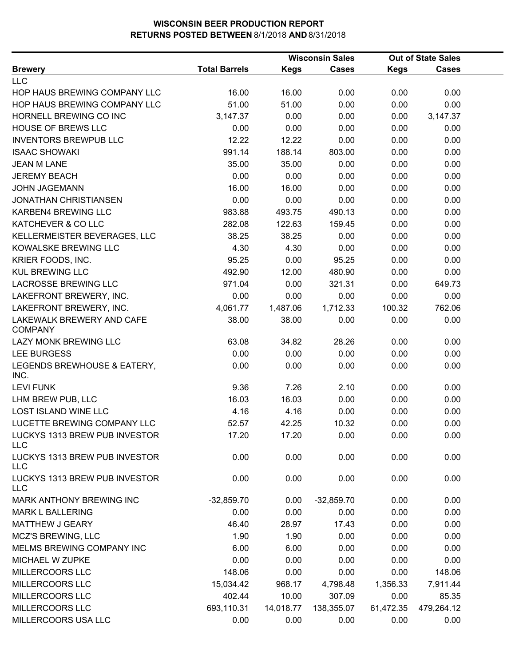|                                             |                      |             | <b>Wisconsin Sales</b> |             | <b>Out of State Sales</b> |  |
|---------------------------------------------|----------------------|-------------|------------------------|-------------|---------------------------|--|
| <b>Brewery</b>                              | <b>Total Barrels</b> | <b>Kegs</b> | <b>Cases</b>           | <b>Kegs</b> | Cases                     |  |
| <b>LLC</b>                                  |                      |             |                        |             |                           |  |
| HOP HAUS BREWING COMPANY LLC                | 16.00                | 16.00       | 0.00                   | 0.00        | 0.00                      |  |
| HOP HAUS BREWING COMPANY LLC                | 51.00                | 51.00       | 0.00                   | 0.00        | 0.00                      |  |
| HORNELL BREWING CO INC                      | 3,147.37             | 0.00        | 0.00                   | 0.00        | 3,147.37                  |  |
| <b>HOUSE OF BREWS LLC</b>                   | 0.00                 | 0.00        | 0.00                   | 0.00        | 0.00                      |  |
| <b>INVENTORS BREWPUB LLC</b>                | 12.22                | 12.22       | 0.00                   | 0.00        | 0.00                      |  |
| <b>ISAAC SHOWAKI</b>                        | 991.14               | 188.14      | 803.00                 | 0.00        | 0.00                      |  |
| <b>JEAN M LANE</b>                          | 35.00                | 35.00       | 0.00                   | 0.00        | 0.00                      |  |
| <b>JEREMY BEACH</b>                         | 0.00                 | 0.00        | 0.00                   | 0.00        | 0.00                      |  |
| <b>JOHN JAGEMANN</b>                        | 16.00                | 16.00       | 0.00                   | 0.00        | 0.00                      |  |
| <b>JONATHAN CHRISTIANSEN</b>                | 0.00                 | 0.00        | 0.00                   | 0.00        | 0.00                      |  |
| KARBEN4 BREWING LLC                         | 983.88               | 493.75      | 490.13                 | 0.00        | 0.00                      |  |
| KATCHEVER & CO LLC                          | 282.08               | 122.63      | 159.45                 | 0.00        | 0.00                      |  |
| KELLERMEISTER BEVERAGES, LLC                | 38.25                | 38.25       | 0.00                   | 0.00        | 0.00                      |  |
| KOWALSKE BREWING LLC                        | 4.30                 | 4.30        | 0.00                   | 0.00        | 0.00                      |  |
| KRIER FOODS, INC.                           | 95.25                | 0.00        | 95.25                  | 0.00        | 0.00                      |  |
| <b>KUL BREWING LLC</b>                      | 492.90               | 12.00       | 480.90                 | 0.00        | 0.00                      |  |
| <b>LACROSSE BREWING LLC</b>                 | 971.04               | 0.00        | 321.31                 | 0.00        | 649.73                    |  |
| LAKEFRONT BREWERY, INC.                     | 0.00                 | 0.00        | 0.00                   | 0.00        | 0.00                      |  |
| LAKEFRONT BREWERY, INC.                     | 4,061.77             | 1,487.06    | 1,712.33               | 100.32      | 762.06                    |  |
| LAKEWALK BREWERY AND CAFE<br><b>COMPANY</b> | 38.00                | 38.00       | 0.00                   | 0.00        | 0.00                      |  |
| LAZY MONK BREWING LLC                       | 63.08                | 34.82       | 28.26                  | 0.00        | 0.00                      |  |
| <b>LEE BURGESS</b>                          | 0.00                 | 0.00        | 0.00                   | 0.00        | 0.00                      |  |
| LEGENDS BREWHOUSE & EATERY,<br>INC.         | 0.00                 | 0.00        | 0.00                   | 0.00        | 0.00                      |  |
| <b>LEVI FUNK</b>                            | 9.36                 | 7.26        | 2.10                   | 0.00        | 0.00                      |  |
| LHM BREW PUB, LLC                           | 16.03                | 16.03       | 0.00                   | 0.00        | 0.00                      |  |
| <b>LOST ISLAND WINE LLC</b>                 | 4.16                 | 4.16        | 0.00                   | 0.00        | 0.00                      |  |
| LUCETTE BREWING COMPANY LLC                 | 52.57                | 42.25       | 10.32                  | 0.00        | 0.00                      |  |
| LUCKYS 1313 BREW PUB INVESTOR<br><b>LLC</b> | 17.20                | 17.20       | 0.00                   | 0.00        | 0.00                      |  |
| LUCKYS 1313 BREW PUB INVESTOR<br><b>LLC</b> | 0.00                 | 0.00        | 0.00                   | 0.00        | 0.00                      |  |
| LUCKYS 1313 BREW PUB INVESTOR<br><b>LLC</b> | 0.00                 | 0.00        | 0.00                   | 0.00        | 0.00                      |  |
| MARK ANTHONY BREWING INC                    | $-32,859.70$         | 0.00        | $-32,859.70$           | 0.00        | 0.00                      |  |
| <b>MARK L BALLERING</b>                     | 0.00                 | 0.00        | 0.00                   | 0.00        | 0.00                      |  |
| MATTHEW J GEARY                             | 46.40                | 28.97       | 17.43                  | 0.00        | 0.00                      |  |
| MCZ'S BREWING, LLC                          | 1.90                 | 1.90        | 0.00                   | 0.00        | 0.00                      |  |
| MELMS BREWING COMPANY INC                   | 6.00                 | 6.00        | 0.00                   | 0.00        | 0.00                      |  |
| MICHAEL W ZUPKE                             | 0.00                 | 0.00        | 0.00                   | 0.00        | 0.00                      |  |
| MILLERCOORS LLC                             | 148.06               | 0.00        | 0.00                   | 0.00        | 148.06                    |  |
| MILLERCOORS LLC                             | 15,034.42            | 968.17      | 4,798.48               | 1,356.33    | 7,911.44                  |  |
| MILLERCOORS LLC                             | 402.44               | 10.00       | 307.09                 | 0.00        | 85.35                     |  |
| MILLERCOORS LLC                             | 693,110.31           | 14,018.77   | 138,355.07             | 61,472.35   | 479,264.12                |  |
| MILLERCOORS USA LLC                         | 0.00                 | 0.00        | 0.00                   | 0.00        | 0.00                      |  |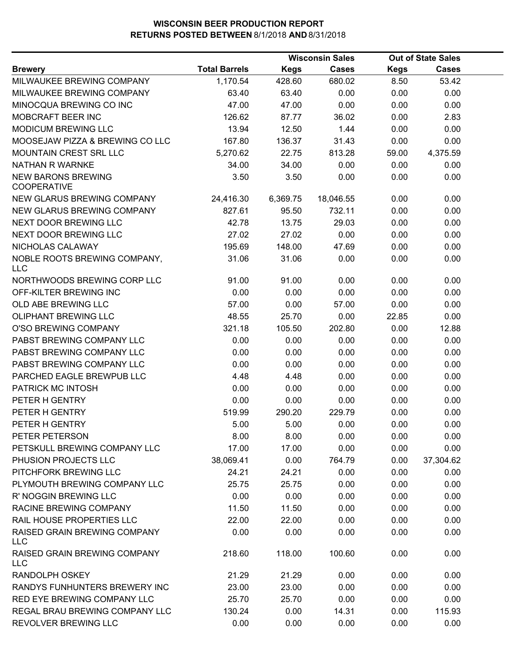|                                                 |                      |          | <b>Wisconsin Sales</b> |       | <b>Out of State Sales</b> |  |
|-------------------------------------------------|----------------------|----------|------------------------|-------|---------------------------|--|
| <b>Brewery</b>                                  | <b>Total Barrels</b> | Kegs     | <b>Cases</b>           | Kegs  | Cases                     |  |
| MILWAUKEE BREWING COMPANY                       | 1,170.54             | 428.60   | 680.02                 | 8.50  | 53.42                     |  |
| MILWAUKEE BREWING COMPANY                       | 63.40                | 63.40    | 0.00                   | 0.00  | 0.00                      |  |
| MINOCQUA BREWING CO INC                         | 47.00                | 47.00    | 0.00                   | 0.00  | 0.00                      |  |
| MOBCRAFT BEER INC                               | 126.62               | 87.77    | 36.02                  | 0.00  | 2.83                      |  |
| <b>MODICUM BREWING LLC</b>                      | 13.94                | 12.50    | 1.44                   | 0.00  | 0.00                      |  |
| MOOSEJAW PIZZA & BREWING CO LLC                 | 167.80               | 136.37   | 31.43                  | 0.00  | 0.00                      |  |
| <b>MOUNTAIN CREST SRL LLC</b>                   | 5,270.62             | 22.75    | 813.28                 | 59.00 | 4,375.59                  |  |
| <b>NATHAN R WARNKE</b>                          | 34.00                | 34.00    | 0.00                   | 0.00  | 0.00                      |  |
| <b>NEW BARONS BREWING</b><br><b>COOPERATIVE</b> | 3.50                 | 3.50     | 0.00                   | 0.00  | 0.00                      |  |
| NEW GLARUS BREWING COMPANY                      | 24,416.30            | 6,369.75 | 18,046.55              | 0.00  | 0.00                      |  |
| NEW GLARUS BREWING COMPANY                      | 827.61               | 95.50    | 732.11                 | 0.00  | 0.00                      |  |
| NEXT DOOR BREWING LLC                           | 42.78                | 13.75    | 29.03                  | 0.00  | 0.00                      |  |
| NEXT DOOR BREWING LLC                           | 27.02                | 27.02    | 0.00                   | 0.00  | 0.00                      |  |
| NICHOLAS CALAWAY                                | 195.69               | 148.00   | 47.69                  | 0.00  | 0.00                      |  |
| NOBLE ROOTS BREWING COMPANY,<br><b>LLC</b>      | 31.06                | 31.06    | 0.00                   | 0.00  | 0.00                      |  |
| NORTHWOODS BREWING CORP LLC                     | 91.00                | 91.00    | 0.00                   | 0.00  | 0.00                      |  |
| OFF-KILTER BREWING INC                          | 0.00                 | 0.00     | 0.00                   | 0.00  | 0.00                      |  |
| OLD ABE BREWING LLC                             | 57.00                | 0.00     | 57.00                  | 0.00  | 0.00                      |  |
| <b>OLIPHANT BREWING LLC</b>                     | 48.55                | 25.70    | 0.00                   | 22.85 | 0.00                      |  |
| O'SO BREWING COMPANY                            | 321.18               | 105.50   | 202.80                 | 0.00  | 12.88                     |  |
| PABST BREWING COMPANY LLC                       | 0.00                 | 0.00     | 0.00                   | 0.00  | 0.00                      |  |
| PABST BREWING COMPANY LLC                       | 0.00                 | 0.00     | 0.00                   | 0.00  | 0.00                      |  |
| PABST BREWING COMPANY LLC                       | 0.00                 | 0.00     | 0.00                   | 0.00  | 0.00                      |  |
| PARCHED EAGLE BREWPUB LLC                       | 4.48                 | 4.48     | 0.00                   | 0.00  | 0.00                      |  |
| PATRICK MC INTOSH                               | 0.00                 | 0.00     | 0.00                   | 0.00  | 0.00                      |  |
| PETER H GENTRY                                  | 0.00                 | 0.00     | 0.00                   | 0.00  | 0.00                      |  |
| PETER H GENTRY                                  | 519.99               | 290.20   | 229.79                 | 0.00  | 0.00                      |  |
| PETER H GENTRY                                  | 5.00                 | 5.00     | 0.00                   | 0.00  | 0.00                      |  |
| PETER PETERSON                                  | 8.00                 | 8.00     | 0.00                   | 0.00  | 0.00                      |  |
| PETSKULL BREWING COMPANY LLC                    | 17.00                | 17.00    | 0.00                   | 0.00  | 0.00                      |  |
| PHUSION PROJECTS LLC                            | 38,069.41            | 0.00     | 764.79                 | 0.00  | 37,304.62                 |  |
| PITCHFORK BREWING LLC                           | 24.21                | 24.21    | 0.00                   | 0.00  | 0.00                      |  |
| PLYMOUTH BREWING COMPANY LLC                    | 25.75                | 25.75    | 0.00                   | 0.00  | 0.00                      |  |
| R' NOGGIN BREWING LLC                           | 0.00                 | 0.00     | 0.00                   | 0.00  | 0.00                      |  |
| RACINE BREWING COMPANY                          | 11.50                | 11.50    | 0.00                   | 0.00  | 0.00                      |  |
| RAIL HOUSE PROPERTIES LLC                       | 22.00                | 22.00    | 0.00                   | 0.00  | 0.00                      |  |
| RAISED GRAIN BREWING COMPANY<br><b>LLC</b>      | 0.00                 | 0.00     | 0.00                   | 0.00  | 0.00                      |  |
| RAISED GRAIN BREWING COMPANY<br><b>LLC</b>      | 218.60               | 118.00   | 100.60                 | 0.00  | 0.00                      |  |
| <b>RANDOLPH OSKEY</b>                           | 21.29                | 21.29    | 0.00                   | 0.00  | 0.00                      |  |
| RANDYS FUNHUNTERS BREWERY INC                   | 23.00                | 23.00    | 0.00                   | 0.00  | 0.00                      |  |
| RED EYE BREWING COMPANY LLC                     | 25.70                | 25.70    | 0.00                   | 0.00  | 0.00                      |  |
| REGAL BRAU BREWING COMPANY LLC                  | 130.24               | 0.00     | 14.31                  | 0.00  | 115.93                    |  |
| REVOLVER BREWING LLC                            | 0.00                 | 0.00     | 0.00                   | 0.00  | 0.00                      |  |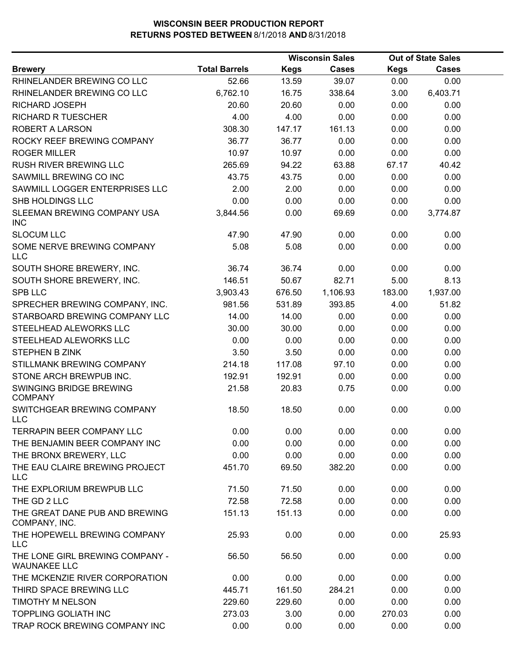|                                                        |                      | <b>Wisconsin Sales</b> |              |             | <b>Out of State Sales</b> |  |
|--------------------------------------------------------|----------------------|------------------------|--------------|-------------|---------------------------|--|
| <b>Brewery</b>                                         | <b>Total Barrels</b> | <b>Kegs</b>            | <b>Cases</b> | <b>Kegs</b> | Cases                     |  |
| RHINELANDER BREWING CO LLC                             | 52.66                | 13.59                  | 39.07        | 0.00        | 0.00                      |  |
| RHINELANDER BREWING CO LLC                             | 6,762.10             | 16.75                  | 338.64       | 3.00        | 6,403.71                  |  |
| RICHARD JOSEPH                                         | 20.60                | 20.60                  | 0.00         | 0.00        | 0.00                      |  |
| <b>RICHARD R TUESCHER</b>                              | 4.00                 | 4.00                   | 0.00         | 0.00        | 0.00                      |  |
| ROBERT A LARSON                                        | 308.30               | 147.17                 | 161.13       | 0.00        | 0.00                      |  |
| ROCKY REEF BREWING COMPANY                             | 36.77                | 36.77                  | 0.00         | 0.00        | 0.00                      |  |
| <b>ROGER MILLER</b>                                    | 10.97                | 10.97                  | 0.00         | 0.00        | 0.00                      |  |
| <b>RUSH RIVER BREWING LLC</b>                          | 265.69               | 94.22                  | 63.88        | 67.17       | 40.42                     |  |
| SAWMILL BREWING CO INC                                 | 43.75                | 43.75                  | 0.00         | 0.00        | 0.00                      |  |
| SAWMILL LOGGER ENTERPRISES LLC                         | 2.00                 | 2.00                   | 0.00         | 0.00        | 0.00                      |  |
| SHB HOLDINGS LLC                                       | 0.00                 | 0.00                   | 0.00         | 0.00        | 0.00                      |  |
| SLEEMAN BREWING COMPANY USA<br><b>INC</b>              | 3,844.56             | 0.00                   | 69.69        | 0.00        | 3,774.87                  |  |
| <b>SLOCUM LLC</b>                                      | 47.90                | 47.90                  | 0.00         | 0.00        | 0.00                      |  |
| SOME NERVE BREWING COMPANY<br><b>LLC</b>               | 5.08                 | 5.08                   | 0.00         | 0.00        | 0.00                      |  |
| SOUTH SHORE BREWERY, INC.                              | 36.74                | 36.74                  | 0.00         | 0.00        | 0.00                      |  |
| SOUTH SHORE BREWERY, INC.                              | 146.51               | 50.67                  | 82.71        | 5.00        | 8.13                      |  |
| <b>SPB LLC</b>                                         | 3,903.43             | 676.50                 | 1,106.93     | 183.00      | 1,937.00                  |  |
| SPRECHER BREWING COMPANY, INC.                         | 981.56               | 531.89                 | 393.85       | 4.00        | 51.82                     |  |
| STARBOARD BREWING COMPANY LLC                          | 14.00                | 14.00                  | 0.00         | 0.00        | 0.00                      |  |
| STEELHEAD ALEWORKS LLC                                 | 30.00                | 30.00                  | 0.00         | 0.00        | 0.00                      |  |
| STEELHEAD ALEWORKS LLC                                 | 0.00                 | 0.00                   | 0.00         | 0.00        | 0.00                      |  |
| STEPHEN B ZINK                                         | 3.50                 | 3.50                   | 0.00         | 0.00        | 0.00                      |  |
| STILLMANK BREWING COMPANY                              | 214.18               | 117.08                 | 97.10        | 0.00        | 0.00                      |  |
| STONE ARCH BREWPUB INC.                                | 192.91               | 192.91                 | 0.00         | 0.00        | 0.00                      |  |
| SWINGING BRIDGE BREWING<br><b>COMPANY</b>              | 21.58                | 20.83                  | 0.75         | 0.00        | 0.00                      |  |
| SWITCHGEAR BREWING COMPANY<br><b>LLC</b>               | 18.50                | 18.50                  | 0.00         | 0.00        | 0.00                      |  |
| <b>TERRAPIN BEER COMPANY LLC</b>                       | 0.00                 | 0.00                   | 0.00         | 0.00        | 0.00                      |  |
| THE BENJAMIN BEER COMPANY INC                          | 0.00                 | 0.00                   | 0.00         | 0.00        | 0.00                      |  |
| THE BRONX BREWERY, LLC                                 | 0.00                 | 0.00                   | 0.00         | 0.00        | 0.00                      |  |
| THE EAU CLAIRE BREWING PROJECT<br>LLC                  | 451.70               | 69.50                  | 382.20       | 0.00        | 0.00                      |  |
| THE EXPLORIUM BREWPUB LLC                              | 71.50                | 71.50                  | 0.00         | 0.00        | 0.00                      |  |
| THE GD 2 LLC                                           | 72.58                | 72.58                  | 0.00         | 0.00        | 0.00                      |  |
| THE GREAT DANE PUB AND BREWING<br>COMPANY, INC.        | 151.13               | 151.13                 | 0.00         | 0.00        | 0.00                      |  |
| THE HOPEWELL BREWING COMPANY<br><b>LLC</b>             | 25.93                | 0.00                   | 0.00         | 0.00        | 25.93                     |  |
| THE LONE GIRL BREWING COMPANY -<br><b>WAUNAKEE LLC</b> | 56.50                | 56.50                  | 0.00         | 0.00        | 0.00                      |  |
| THE MCKENZIE RIVER CORPORATION                         | 0.00                 | 0.00                   | 0.00         | 0.00        | 0.00                      |  |
| THIRD SPACE BREWING LLC                                | 445.71               | 161.50                 | 284.21       | 0.00        | 0.00                      |  |
| <b>TIMOTHY M NELSON</b>                                | 229.60               | 229.60                 | 0.00         | 0.00        | 0.00                      |  |
| <b>TOPPLING GOLIATH INC</b>                            | 273.03               | 3.00                   | 0.00         | 270.03      | 0.00                      |  |
| TRAP ROCK BREWING COMPANY INC                          | 0.00                 | 0.00                   | 0.00         | 0.00        | 0.00                      |  |